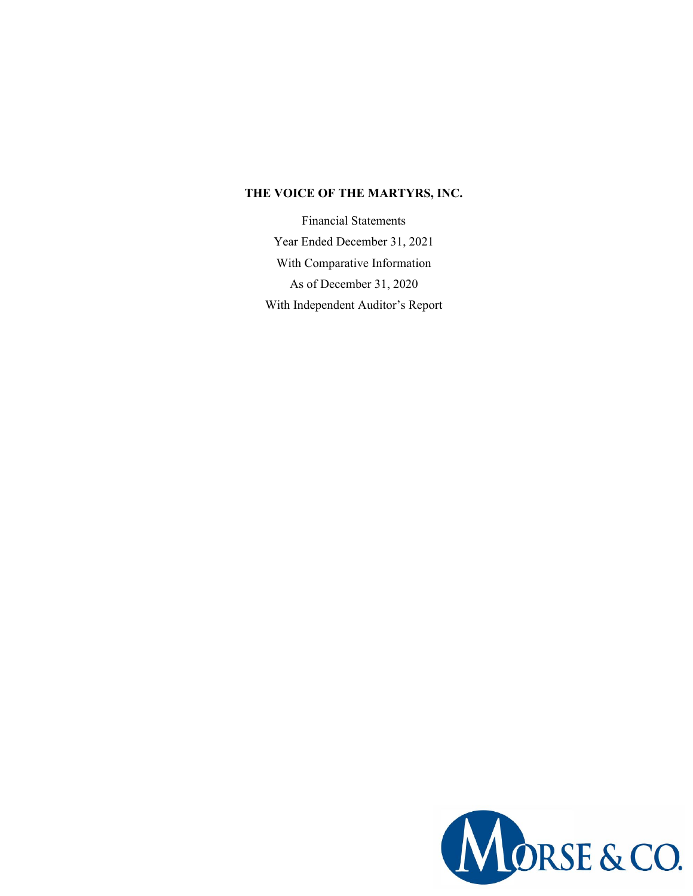## **THE VOICE OF THE MARTYRS, INC.**

Financial Statements Year Ended December 31, 2021 With Comparative Information As of December 31, 2020 With Independent Auditor's Report

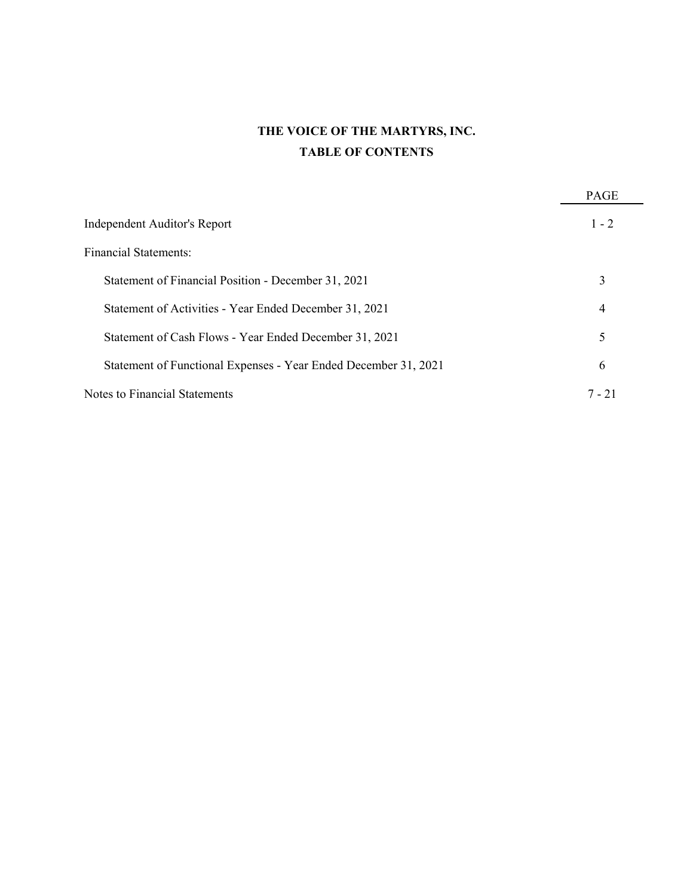# **THE VOICE OF THE MARTYRS, INC. TABLE OF CONTENTS**

|                                                                 | <b>PAGE</b> |
|-----------------------------------------------------------------|-------------|
| Independent Auditor's Report                                    | $1 - 2$     |
| Financial Statements:                                           |             |
| Statement of Financial Position - December 31, 2021             | 3           |
| Statement of Activities - Year Ended December 31, 2021          | 4           |
| Statement of Cash Flows - Year Ended December 31, 2021          | 5           |
| Statement of Functional Expenses - Year Ended December 31, 2021 | 6           |
| Notes to Financial Statements                                   | 7 - 21      |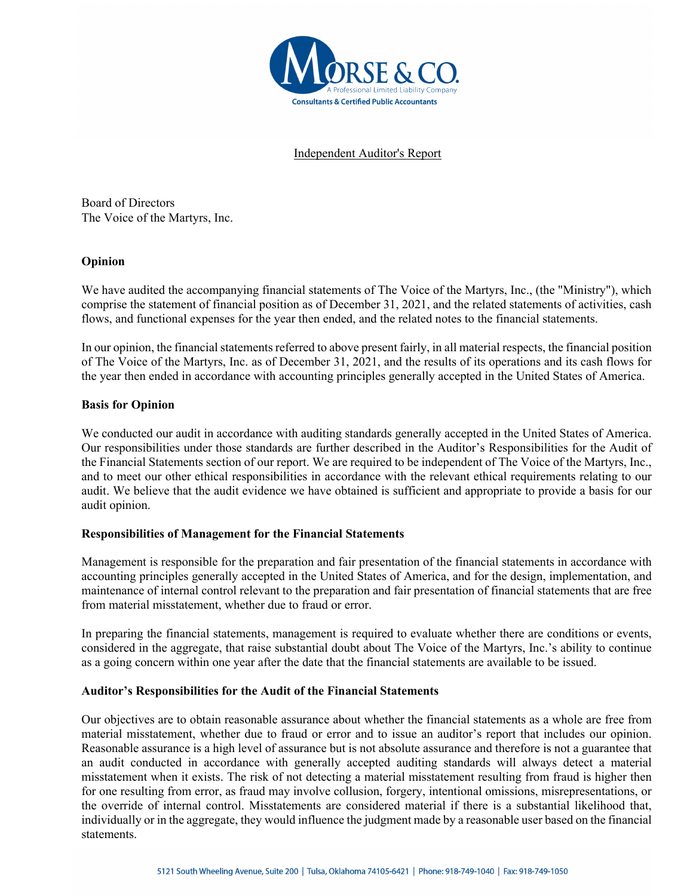

Independent Auditor's Report

Board of Directors The Voice of the Martyrs, Inc.

## **Opinion**

We have audited the accompanying financial statements of The Voice of the Martyrs, Inc., (the "Ministry"), which comprise the statement of financial position as of December 31, 2021, and the related statements of activities, cash flows, and functional expenses for the year then ended, and the related notes to the financial statements.

In our opinion, the financial statements referred to above present fairly, in all material respects, the financial position of The Voice of the Martyrs, Inc. as of December 31, 2021, and the results of its operations and its cash flows for the year then ended in accordance with accounting principles generally accepted in the United States of America.

## **Basis for Opinion**

We conducted our audit in accordance with auditing standards generally accepted in the United States of America. Our responsibilities under those standards are further described in the Auditor's Responsibilities for the Audit of the Financial Statements section of our report. We are required to be independent of The Voice of the Martyrs, Inc., and to meet our other ethical responsibilities in accordance with the relevant ethical requirements relating to our audit. We believe that the audit evidence we have obtained is sufficient and appropriate to provide a basis for our audit opinion.

## **Responsibilities of Management for the Financial Statements**

Management is responsible for the preparation and fair presentation of the financial statements in accordance with accounting principles generally accepted in the United States of America, and for the design, implementation, and maintenance of internal control relevant to the preparation and fair presentation of financial statements that are free from material misstatement, whether due to fraud or error.

In preparing the financial statements, management is required to evaluate whether there are conditions or events, considered in the aggregate, that raise substantial doubt about The Voice of the Martyrs, Inc.'s ability to continue as a going concern within one year after the date that the financial statements are available to be issued.

## **Auditor's Responsibilities for the Audit of the Financial Statements**

Our objectives are to obtain reasonable assurance about whether the financial statements as a whole are free from material misstatement, whether due to fraud or error and to issue an auditor's report that includes our opinion. Reasonable assurance is a high level of assurance but is not absolute assurance and therefore is not a guarantee that an audit conducted in accordance with generally accepted auditing standards will always detect a material misstatement when it exists. The risk of not detecting a material misstatement resulting from fraud is higher then for one resulting from error, as fraud may involve collusion, forgery, intentional omissions, misrepresentations, or the override of internal control. Misstatements are considered material if there is a substantial likelihood that, individually or in the aggregate, they would influence the judgment made by a reasonable user based on the financial statements.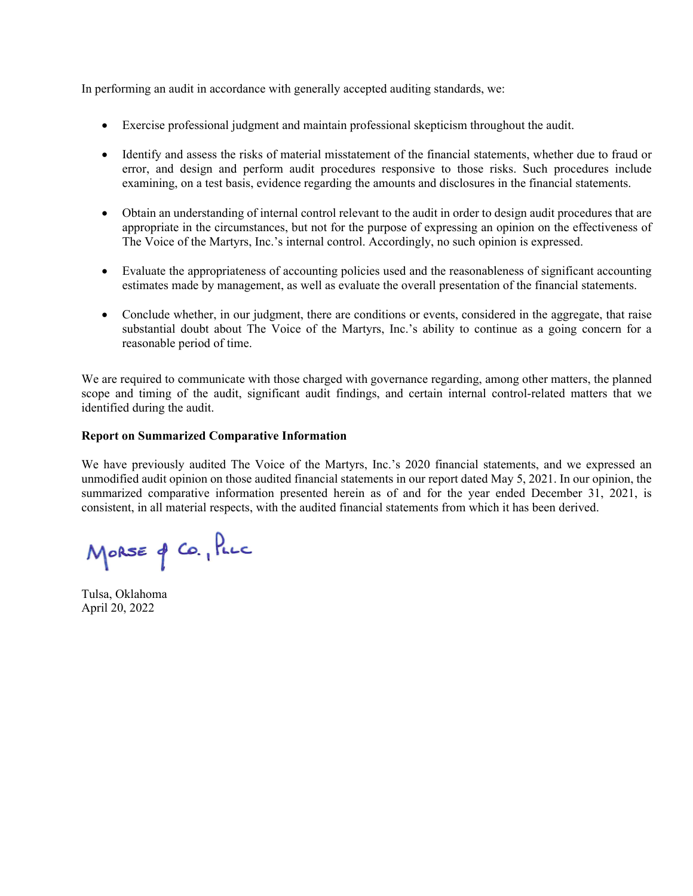In performing an audit in accordance with generally accepted auditing standards, we:

- Exercise professional judgment and maintain professional skepticism throughout the audit.
- Identify and assess the risks of material misstatement of the financial statements, whether due to fraud or error, and design and perform audit procedures responsive to those risks. Such procedures include examining, on a test basis, evidence regarding the amounts and disclosures in the financial statements.
- Obtain an understanding of internal control relevant to the audit in order to design audit procedures that are appropriate in the circumstances, but not for the purpose of expressing an opinion on the effectiveness of The Voice of the Martyrs, Inc.'s internal control. Accordingly, no such opinion is expressed.
- Evaluate the appropriateness of accounting policies used and the reasonableness of significant accounting estimates made by management, as well as evaluate the overall presentation of the financial statements.
- Conclude whether, in our judgment, there are conditions or events, considered in the aggregate, that raise substantial doubt about The Voice of the Martyrs, Inc.'s ability to continue as a going concern for a reasonable period of time.

We are required to communicate with those charged with governance regarding, among other matters, the planned scope and timing of the audit, significant audit findings, and certain internal control-related matters that we identified during the audit.

## **Report on Summarized Comparative Information**

We have previously audited The Voice of the Martyrs, Inc.'s 2020 financial statements, and we expressed an unmodified audit opinion on those audited financial statements in our report dated May 5, 2021. In our opinion, the summarized comparative information presented herein as of and for the year ended December 31, 2021, is consistent, in all material respects, with the audited financial statements from which it has been derived.

MORSE of CO., PLLC

Tulsa, Oklahoma April 20, 2022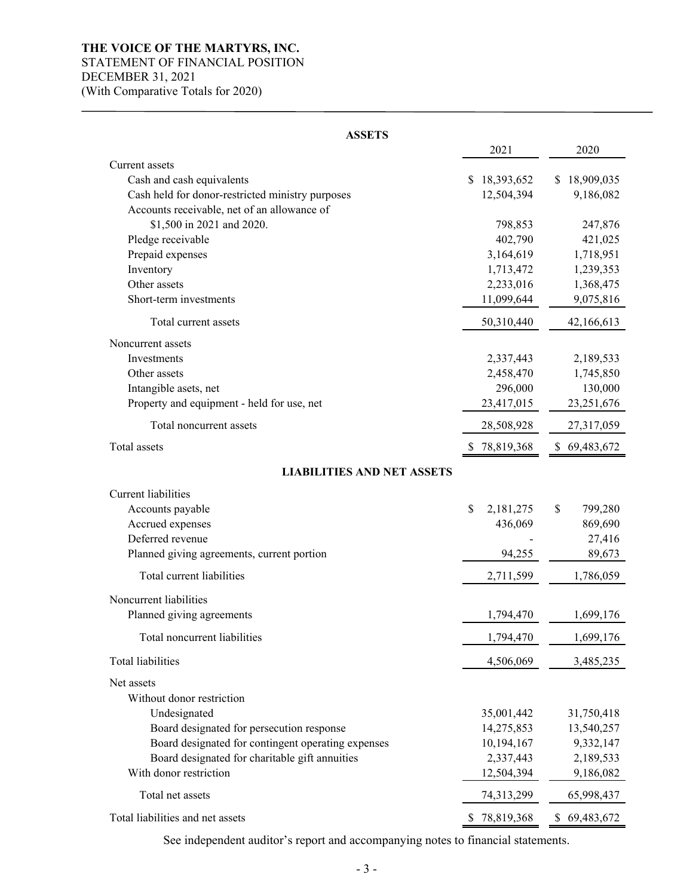# **THE VOICE OF THE MARTYRS, INC.**

# STATEMENT OF FINANCIAL POSITION

DECEMBER 31, 2021

(With Comparative Totals for 2020)

| 2021<br>2020<br>Current assets<br>Cash and cash equivalents<br>\$18,393,652<br>\$18,909,035<br>Cash held for donor-restricted ministry purposes<br>12,504,394<br>9,186,082<br>Accounts receivable, net of an allowance of<br>\$1,500 in 2021 and 2020.<br>798,853<br>247,876<br>Pledge receivable<br>402,790<br>421,025<br>Prepaid expenses<br>3,164,619<br>1,718,951<br>Inventory<br>1,713,472<br>1,239,353<br>Other assets<br>2,233,016<br>1,368,475<br>Short-term investments<br>11,099,644<br>9,075,816<br>Total current assets<br>50,310,440<br>42,166,613<br>Noncurrent assets<br>Investments<br>2,337,443<br>2,189,533<br>Other assets<br>2,458,470<br>1,745,850<br>Intangible asets, net<br>296,000<br>130,000<br>Property and equipment - held for use, net<br>23,417,015<br>23,251,676<br>Total noncurrent assets<br>28,508,928<br>27,317,059<br>Total assets<br>78,819,368<br>\$69,483,672<br>S.<br><b>LIABILITIES AND NET ASSETS</b><br><b>Current liabilities</b><br>Accounts payable<br>\$<br>2,181,275<br>\$<br>799,280<br>Accrued expenses<br>436,069<br>869,690<br>Deferred revenue<br>27,416<br>94,255<br>Planned giving agreements, current portion<br>89,673<br>Total current liabilities<br>1,786,059<br>2,711,599<br>Noncurrent liabilities<br>Planned giving agreements<br>1,794,470<br>1,699,176<br>Total noncurrent liabilities<br>1,794,470<br>1,699,176<br>Total liabilities<br>4,506,069<br>3,485,235<br>Net assets<br>Without donor restriction<br>Undesignated<br>35,001,442<br>31,750,418<br>Board designated for persecution response<br>14,275,853<br>13,540,257<br>Board designated for contingent operating expenses<br>10,194,167<br>9,332,147<br>Board designated for charitable gift annuities<br>2,337,443<br>2,189,533<br>With donor restriction<br>12,504,394<br>9,186,082<br>Total net assets<br>74,313,299<br>65,998,437<br>Total liabilities and net assets<br>78,819,368<br>69,483,672<br>\$ | <b>ASSETS</b> |  |  |  |  |  |  |  |  |  |  |
|-------------------------------------------------------------------------------------------------------------------------------------------------------------------------------------------------------------------------------------------------------------------------------------------------------------------------------------------------------------------------------------------------------------------------------------------------------------------------------------------------------------------------------------------------------------------------------------------------------------------------------------------------------------------------------------------------------------------------------------------------------------------------------------------------------------------------------------------------------------------------------------------------------------------------------------------------------------------------------------------------------------------------------------------------------------------------------------------------------------------------------------------------------------------------------------------------------------------------------------------------------------------------------------------------------------------------------------------------------------------------------------------------------------------------------------------------------------------------------------------------------------------------------------------------------------------------------------------------------------------------------------------------------------------------------------------------------------------------------------------------------------------------------------------------------------------------------------------------------------------------------------------------------------------------------------------|---------------|--|--|--|--|--|--|--|--|--|--|
|                                                                                                                                                                                                                                                                                                                                                                                                                                                                                                                                                                                                                                                                                                                                                                                                                                                                                                                                                                                                                                                                                                                                                                                                                                                                                                                                                                                                                                                                                                                                                                                                                                                                                                                                                                                                                                                                                                                                           |               |  |  |  |  |  |  |  |  |  |  |
|                                                                                                                                                                                                                                                                                                                                                                                                                                                                                                                                                                                                                                                                                                                                                                                                                                                                                                                                                                                                                                                                                                                                                                                                                                                                                                                                                                                                                                                                                                                                                                                                                                                                                                                                                                                                                                                                                                                                           |               |  |  |  |  |  |  |  |  |  |  |
|                                                                                                                                                                                                                                                                                                                                                                                                                                                                                                                                                                                                                                                                                                                                                                                                                                                                                                                                                                                                                                                                                                                                                                                                                                                                                                                                                                                                                                                                                                                                                                                                                                                                                                                                                                                                                                                                                                                                           |               |  |  |  |  |  |  |  |  |  |  |
|                                                                                                                                                                                                                                                                                                                                                                                                                                                                                                                                                                                                                                                                                                                                                                                                                                                                                                                                                                                                                                                                                                                                                                                                                                                                                                                                                                                                                                                                                                                                                                                                                                                                                                                                                                                                                                                                                                                                           |               |  |  |  |  |  |  |  |  |  |  |
|                                                                                                                                                                                                                                                                                                                                                                                                                                                                                                                                                                                                                                                                                                                                                                                                                                                                                                                                                                                                                                                                                                                                                                                                                                                                                                                                                                                                                                                                                                                                                                                                                                                                                                                                                                                                                                                                                                                                           |               |  |  |  |  |  |  |  |  |  |  |
|                                                                                                                                                                                                                                                                                                                                                                                                                                                                                                                                                                                                                                                                                                                                                                                                                                                                                                                                                                                                                                                                                                                                                                                                                                                                                                                                                                                                                                                                                                                                                                                                                                                                                                                                                                                                                                                                                                                                           |               |  |  |  |  |  |  |  |  |  |  |
|                                                                                                                                                                                                                                                                                                                                                                                                                                                                                                                                                                                                                                                                                                                                                                                                                                                                                                                                                                                                                                                                                                                                                                                                                                                                                                                                                                                                                                                                                                                                                                                                                                                                                                                                                                                                                                                                                                                                           |               |  |  |  |  |  |  |  |  |  |  |
|                                                                                                                                                                                                                                                                                                                                                                                                                                                                                                                                                                                                                                                                                                                                                                                                                                                                                                                                                                                                                                                                                                                                                                                                                                                                                                                                                                                                                                                                                                                                                                                                                                                                                                                                                                                                                                                                                                                                           |               |  |  |  |  |  |  |  |  |  |  |
|                                                                                                                                                                                                                                                                                                                                                                                                                                                                                                                                                                                                                                                                                                                                                                                                                                                                                                                                                                                                                                                                                                                                                                                                                                                                                                                                                                                                                                                                                                                                                                                                                                                                                                                                                                                                                                                                                                                                           |               |  |  |  |  |  |  |  |  |  |  |
|                                                                                                                                                                                                                                                                                                                                                                                                                                                                                                                                                                                                                                                                                                                                                                                                                                                                                                                                                                                                                                                                                                                                                                                                                                                                                                                                                                                                                                                                                                                                                                                                                                                                                                                                                                                                                                                                                                                                           |               |  |  |  |  |  |  |  |  |  |  |
|                                                                                                                                                                                                                                                                                                                                                                                                                                                                                                                                                                                                                                                                                                                                                                                                                                                                                                                                                                                                                                                                                                                                                                                                                                                                                                                                                                                                                                                                                                                                                                                                                                                                                                                                                                                                                                                                                                                                           |               |  |  |  |  |  |  |  |  |  |  |
|                                                                                                                                                                                                                                                                                                                                                                                                                                                                                                                                                                                                                                                                                                                                                                                                                                                                                                                                                                                                                                                                                                                                                                                                                                                                                                                                                                                                                                                                                                                                                                                                                                                                                                                                                                                                                                                                                                                                           |               |  |  |  |  |  |  |  |  |  |  |
|                                                                                                                                                                                                                                                                                                                                                                                                                                                                                                                                                                                                                                                                                                                                                                                                                                                                                                                                                                                                                                                                                                                                                                                                                                                                                                                                                                                                                                                                                                                                                                                                                                                                                                                                                                                                                                                                                                                                           |               |  |  |  |  |  |  |  |  |  |  |
|                                                                                                                                                                                                                                                                                                                                                                                                                                                                                                                                                                                                                                                                                                                                                                                                                                                                                                                                                                                                                                                                                                                                                                                                                                                                                                                                                                                                                                                                                                                                                                                                                                                                                                                                                                                                                                                                                                                                           |               |  |  |  |  |  |  |  |  |  |  |
|                                                                                                                                                                                                                                                                                                                                                                                                                                                                                                                                                                                                                                                                                                                                                                                                                                                                                                                                                                                                                                                                                                                                                                                                                                                                                                                                                                                                                                                                                                                                                                                                                                                                                                                                                                                                                                                                                                                                           |               |  |  |  |  |  |  |  |  |  |  |
|                                                                                                                                                                                                                                                                                                                                                                                                                                                                                                                                                                                                                                                                                                                                                                                                                                                                                                                                                                                                                                                                                                                                                                                                                                                                                                                                                                                                                                                                                                                                                                                                                                                                                                                                                                                                                                                                                                                                           |               |  |  |  |  |  |  |  |  |  |  |
|                                                                                                                                                                                                                                                                                                                                                                                                                                                                                                                                                                                                                                                                                                                                                                                                                                                                                                                                                                                                                                                                                                                                                                                                                                                                                                                                                                                                                                                                                                                                                                                                                                                                                                                                                                                                                                                                                                                                           |               |  |  |  |  |  |  |  |  |  |  |
|                                                                                                                                                                                                                                                                                                                                                                                                                                                                                                                                                                                                                                                                                                                                                                                                                                                                                                                                                                                                                                                                                                                                                                                                                                                                                                                                                                                                                                                                                                                                                                                                                                                                                                                                                                                                                                                                                                                                           |               |  |  |  |  |  |  |  |  |  |  |
|                                                                                                                                                                                                                                                                                                                                                                                                                                                                                                                                                                                                                                                                                                                                                                                                                                                                                                                                                                                                                                                                                                                                                                                                                                                                                                                                                                                                                                                                                                                                                                                                                                                                                                                                                                                                                                                                                                                                           |               |  |  |  |  |  |  |  |  |  |  |
|                                                                                                                                                                                                                                                                                                                                                                                                                                                                                                                                                                                                                                                                                                                                                                                                                                                                                                                                                                                                                                                                                                                                                                                                                                                                                                                                                                                                                                                                                                                                                                                                                                                                                                                                                                                                                                                                                                                                           |               |  |  |  |  |  |  |  |  |  |  |
|                                                                                                                                                                                                                                                                                                                                                                                                                                                                                                                                                                                                                                                                                                                                                                                                                                                                                                                                                                                                                                                                                                                                                                                                                                                                                                                                                                                                                                                                                                                                                                                                                                                                                                                                                                                                                                                                                                                                           |               |  |  |  |  |  |  |  |  |  |  |
|                                                                                                                                                                                                                                                                                                                                                                                                                                                                                                                                                                                                                                                                                                                                                                                                                                                                                                                                                                                                                                                                                                                                                                                                                                                                                                                                                                                                                                                                                                                                                                                                                                                                                                                                                                                                                                                                                                                                           |               |  |  |  |  |  |  |  |  |  |  |
|                                                                                                                                                                                                                                                                                                                                                                                                                                                                                                                                                                                                                                                                                                                                                                                                                                                                                                                                                                                                                                                                                                                                                                                                                                                                                                                                                                                                                                                                                                                                                                                                                                                                                                                                                                                                                                                                                                                                           |               |  |  |  |  |  |  |  |  |  |  |
|                                                                                                                                                                                                                                                                                                                                                                                                                                                                                                                                                                                                                                                                                                                                                                                                                                                                                                                                                                                                                                                                                                                                                                                                                                                                                                                                                                                                                                                                                                                                                                                                                                                                                                                                                                                                                                                                                                                                           |               |  |  |  |  |  |  |  |  |  |  |
|                                                                                                                                                                                                                                                                                                                                                                                                                                                                                                                                                                                                                                                                                                                                                                                                                                                                                                                                                                                                                                                                                                                                                                                                                                                                                                                                                                                                                                                                                                                                                                                                                                                                                                                                                                                                                                                                                                                                           |               |  |  |  |  |  |  |  |  |  |  |
|                                                                                                                                                                                                                                                                                                                                                                                                                                                                                                                                                                                                                                                                                                                                                                                                                                                                                                                                                                                                                                                                                                                                                                                                                                                                                                                                                                                                                                                                                                                                                                                                                                                                                                                                                                                                                                                                                                                                           |               |  |  |  |  |  |  |  |  |  |  |
|                                                                                                                                                                                                                                                                                                                                                                                                                                                                                                                                                                                                                                                                                                                                                                                                                                                                                                                                                                                                                                                                                                                                                                                                                                                                                                                                                                                                                                                                                                                                                                                                                                                                                                                                                                                                                                                                                                                                           |               |  |  |  |  |  |  |  |  |  |  |
|                                                                                                                                                                                                                                                                                                                                                                                                                                                                                                                                                                                                                                                                                                                                                                                                                                                                                                                                                                                                                                                                                                                                                                                                                                                                                                                                                                                                                                                                                                                                                                                                                                                                                                                                                                                                                                                                                                                                           |               |  |  |  |  |  |  |  |  |  |  |
|                                                                                                                                                                                                                                                                                                                                                                                                                                                                                                                                                                                                                                                                                                                                                                                                                                                                                                                                                                                                                                                                                                                                                                                                                                                                                                                                                                                                                                                                                                                                                                                                                                                                                                                                                                                                                                                                                                                                           |               |  |  |  |  |  |  |  |  |  |  |
|                                                                                                                                                                                                                                                                                                                                                                                                                                                                                                                                                                                                                                                                                                                                                                                                                                                                                                                                                                                                                                                                                                                                                                                                                                                                                                                                                                                                                                                                                                                                                                                                                                                                                                                                                                                                                                                                                                                                           |               |  |  |  |  |  |  |  |  |  |  |
|                                                                                                                                                                                                                                                                                                                                                                                                                                                                                                                                                                                                                                                                                                                                                                                                                                                                                                                                                                                                                                                                                                                                                                                                                                                                                                                                                                                                                                                                                                                                                                                                                                                                                                                                                                                                                                                                                                                                           |               |  |  |  |  |  |  |  |  |  |  |
|                                                                                                                                                                                                                                                                                                                                                                                                                                                                                                                                                                                                                                                                                                                                                                                                                                                                                                                                                                                                                                                                                                                                                                                                                                                                                                                                                                                                                                                                                                                                                                                                                                                                                                                                                                                                                                                                                                                                           |               |  |  |  |  |  |  |  |  |  |  |
|                                                                                                                                                                                                                                                                                                                                                                                                                                                                                                                                                                                                                                                                                                                                                                                                                                                                                                                                                                                                                                                                                                                                                                                                                                                                                                                                                                                                                                                                                                                                                                                                                                                                                                                                                                                                                                                                                                                                           |               |  |  |  |  |  |  |  |  |  |  |
|                                                                                                                                                                                                                                                                                                                                                                                                                                                                                                                                                                                                                                                                                                                                                                                                                                                                                                                                                                                                                                                                                                                                                                                                                                                                                                                                                                                                                                                                                                                                                                                                                                                                                                                                                                                                                                                                                                                                           |               |  |  |  |  |  |  |  |  |  |  |
|                                                                                                                                                                                                                                                                                                                                                                                                                                                                                                                                                                                                                                                                                                                                                                                                                                                                                                                                                                                                                                                                                                                                                                                                                                                                                                                                                                                                                                                                                                                                                                                                                                                                                                                                                                                                                                                                                                                                           |               |  |  |  |  |  |  |  |  |  |  |
|                                                                                                                                                                                                                                                                                                                                                                                                                                                                                                                                                                                                                                                                                                                                                                                                                                                                                                                                                                                                                                                                                                                                                                                                                                                                                                                                                                                                                                                                                                                                                                                                                                                                                                                                                                                                                                                                                                                                           |               |  |  |  |  |  |  |  |  |  |  |
|                                                                                                                                                                                                                                                                                                                                                                                                                                                                                                                                                                                                                                                                                                                                                                                                                                                                                                                                                                                                                                                                                                                                                                                                                                                                                                                                                                                                                                                                                                                                                                                                                                                                                                                                                                                                                                                                                                                                           |               |  |  |  |  |  |  |  |  |  |  |
|                                                                                                                                                                                                                                                                                                                                                                                                                                                                                                                                                                                                                                                                                                                                                                                                                                                                                                                                                                                                                                                                                                                                                                                                                                                                                                                                                                                                                                                                                                                                                                                                                                                                                                                                                                                                                                                                                                                                           |               |  |  |  |  |  |  |  |  |  |  |
|                                                                                                                                                                                                                                                                                                                                                                                                                                                                                                                                                                                                                                                                                                                                                                                                                                                                                                                                                                                                                                                                                                                                                                                                                                                                                                                                                                                                                                                                                                                                                                                                                                                                                                                                                                                                                                                                                                                                           |               |  |  |  |  |  |  |  |  |  |  |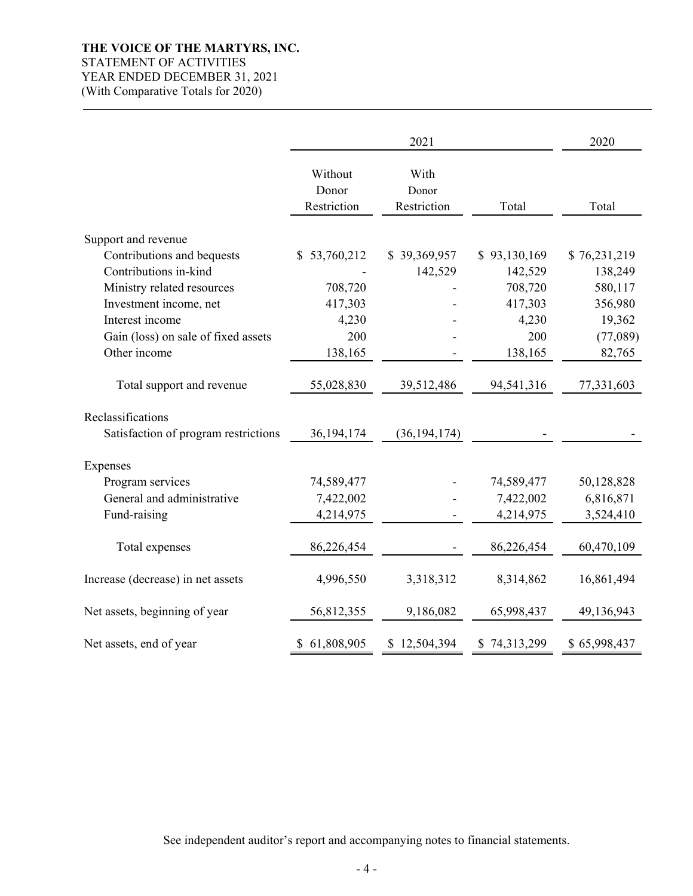## **THE VOICE OF THE MARTYRS, INC.**  STATEMENT OF ACTIVITIES YEAR ENDED DECEMBER 31, 2021 (With Comparative Totals for 2020)

|                                      |                                 | 2021                         |              | 2020         |
|--------------------------------------|---------------------------------|------------------------------|--------------|--------------|
|                                      | Without<br>Donor<br>Restriction | With<br>Donor<br>Restriction | Total        | Total        |
|                                      |                                 |                              |              |              |
| Support and revenue                  |                                 |                              |              |              |
| Contributions and bequests           | \$53,760,212                    | \$39,369,957                 | \$93,130,169 | \$76,231,219 |
| Contributions in-kind                |                                 | 142,529                      | 142,529      | 138,249      |
| Ministry related resources           | 708,720                         |                              | 708,720      | 580,117      |
| Investment income, net               | 417,303                         |                              | 417,303      | 356,980      |
| Interest income                      | 4,230                           |                              | 4,230        | 19,362       |
| Gain (loss) on sale of fixed assets  | 200                             |                              | 200          | (77,089)     |
| Other income                         | 138,165                         |                              | 138,165      | 82,765       |
| Total support and revenue            | 55,028,830                      | 39,512,486                   | 94,541,316   | 77,331,603   |
| Reclassifications                    |                                 |                              |              |              |
| Satisfaction of program restrictions | 36, 194, 174                    | (36, 194, 174)               |              |              |
| Expenses                             |                                 |                              |              |              |
| Program services                     | 74,589,477                      |                              | 74,589,477   | 50,128,828   |
| General and administrative           | 7,422,002                       |                              | 7,422,002    | 6,816,871    |
| Fund-raising                         | 4,214,975                       |                              | 4,214,975    | 3,524,410    |
| Total expenses                       | 86,226,454                      |                              | 86,226,454   | 60,470,109   |
| Increase (decrease) in net assets    | 4,996,550                       | 3,318,312                    | 8,314,862    | 16,861,494   |
| Net assets, beginning of year        | 56,812,355                      | 9,186,082                    | 65,998,437   | 49,136,943   |
| Net assets, end of year              | \$61,808,905                    | \$12,504,394                 | \$74,313,299 | \$65,998,437 |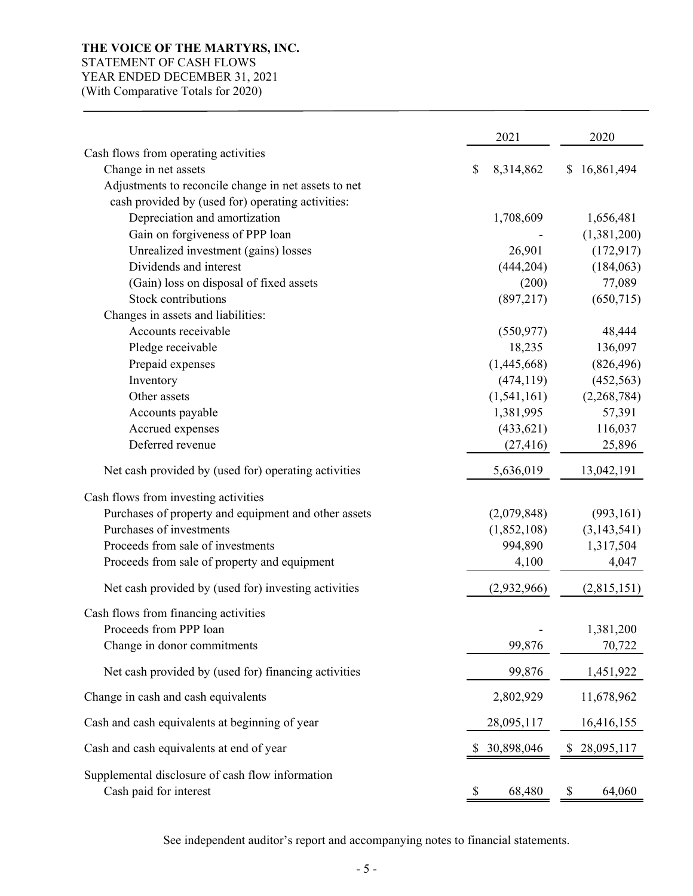# **THE VOICE OF THE MARTYRS, INC.**

# STATEMENT OF CASH FLOWS

YEAR ENDED DECEMBER 31, 2021

(With Comparative Totals for 2020)

|                                                                            | 2021            | 2020            |
|----------------------------------------------------------------------------|-----------------|-----------------|
| Cash flows from operating activities                                       |                 |                 |
| Change in net assets                                                       | \$<br>8,314,862 | 16,861,494<br>S |
| Adjustments to reconcile change in net assets to net                       |                 |                 |
| cash provided by (used for) operating activities:                          |                 |                 |
| Depreciation and amortization                                              | 1,708,609       | 1,656,481       |
| Gain on forgiveness of PPP loan                                            |                 | (1,381,200)     |
| Unrealized investment (gains) losses                                       | 26,901          | (172, 917)      |
| Dividends and interest                                                     | (444, 204)      | (184,063)       |
| (Gain) loss on disposal of fixed assets                                    | (200)           | 77,089          |
| <b>Stock contributions</b>                                                 | (897, 217)      | (650, 715)      |
| Changes in assets and liabilities:                                         |                 |                 |
| Accounts receivable                                                        | (550, 977)      | 48,444          |
| Pledge receivable                                                          | 18,235          | 136,097         |
| Prepaid expenses                                                           | (1,445,668)     | (826, 496)      |
| Inventory                                                                  | (474, 119)      | (452, 563)      |
| Other assets                                                               | (1,541,161)     | (2,268,784)     |
| Accounts payable                                                           | 1,381,995       | 57,391          |
| Accrued expenses                                                           | (433, 621)      | 116,037         |
| Deferred revenue                                                           | (27, 416)       | 25,896          |
| Net cash provided by (used for) operating activities                       | 5,636,019       | 13,042,191      |
| Cash flows from investing activities                                       |                 |                 |
| Purchases of property and equipment and other assets                       | (2,079,848)     | (993, 161)      |
| Purchases of investments                                                   | (1,852,108)     | (3, 143, 541)   |
| Proceeds from sale of investments                                          | 994,890         | 1,317,504       |
| Proceeds from sale of property and equipment                               | 4,100           | 4,047           |
| Net cash provided by (used for) investing activities                       | (2,932,966)     | (2,815,151)     |
| Cash flows from financing activities                                       |                 |                 |
| Proceeds from PPP loan                                                     |                 | 1,381,200       |
| Change in donor commitments                                                | 99,876          | 70,722          |
| Net cash provided by (used for) financing activities                       | 99,876          | 1,451,922       |
| Change in cash and cash equivalents                                        | 2,802,929       | 11,678,962      |
| Cash and cash equivalents at beginning of year                             | 28,095,117      | 16,416,155      |
| Cash and cash equivalents at end of year                                   | 30,898,046      | 28,095,117      |
| Supplemental disclosure of cash flow information<br>Cash paid for interest | 68,480          | 64,060<br>P.    |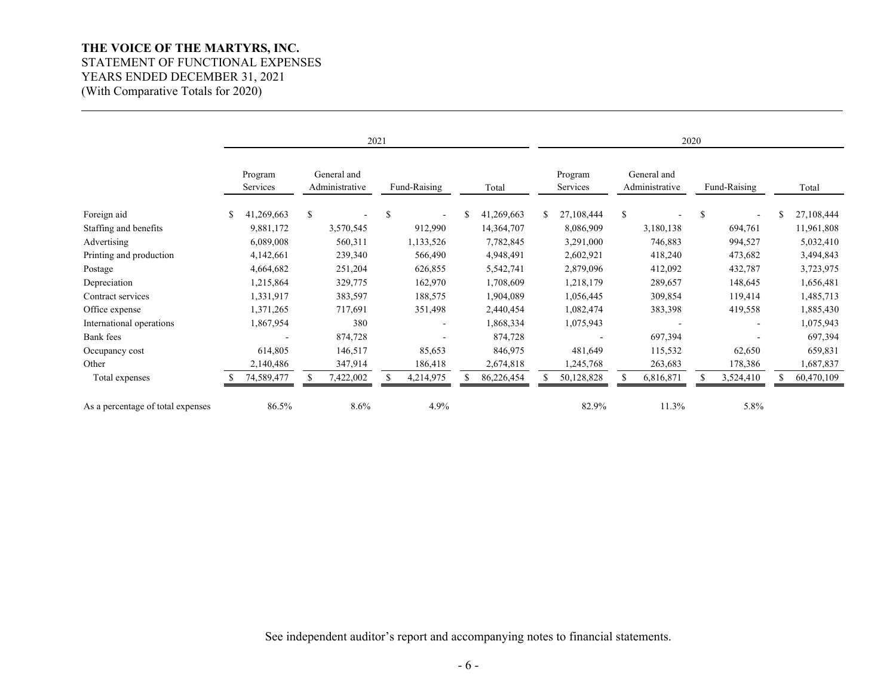## **THE VOICE OF THE MARTYRS, INC.**  STATEMENT OF FUNCTIONAL EXPENSES YEARS ENDED DECEMBER 31, 2021 (With Comparative Totals for 2020)

|                                   | 2021 |                     |   |                               |    |              | 2020       |     |                     |    |                               |               |                          |    |            |
|-----------------------------------|------|---------------------|---|-------------------------------|----|--------------|------------|-----|---------------------|----|-------------------------------|---------------|--------------------------|----|------------|
|                                   |      | Program<br>Services |   | General and<br>Administrative |    | Fund-Raising | Total      |     | Program<br>Services |    | General and<br>Administrative |               | Fund-Raising             |    | Total      |
| Foreign aid                       | \$   | 41,269,663          | S |                               | \$ | $\sim$       | 41,269,663 | \$. | 27,108,444          | \$ |                               | <sup>\$</sup> | ٠                        | \$ | 27,108,444 |
| Staffing and benefits             |      | 9,881,172           |   | 3,570,545                     |    | 912,990      | 14,364,707 |     | 8,086,909           |    | 3,180,138                     |               | 694,761                  |    | 11,961,808 |
| Advertising                       |      | 6,089,008           |   | 560,311                       |    | 1,133,526    | 7,782,845  |     | 3,291,000           |    | 746,883                       |               | 994,527                  |    | 5,032,410  |
| Printing and production           |      | 4,142,661           |   | 239,340                       |    | 566,490      | 4,948,491  |     | 2,602,921           |    | 418,240                       |               | 473,682                  |    | 3,494,843  |
| Postage                           |      | 4,664,682           |   | 251,204                       |    | 626,855      | 5,542,741  |     | 2,879,096           |    | 412,092                       |               | 432,787                  |    | 3,723,975  |
| Depreciation                      |      | 1,215,864           |   | 329,775                       |    | 162,970      | 1,708,609  |     | 1,218,179           |    | 289,657                       |               | 148,645                  |    | 1,656,481  |
| Contract services                 |      | 1,331,917           |   | 383,597                       |    | 188,575      | 1,904,089  |     | 1,056,445           |    | 309,854                       |               | 119,414                  |    | 1,485,713  |
| Office expense                    |      | 1,371,265           |   | 717,691                       |    | 351,498      | 2,440,454  |     | 1,082,474           |    | 383,398                       |               | 419,558                  |    | 1,885,430  |
| International operations          |      | 1,867,954           |   | 380                           |    | ٠            | 1,868,334  |     | 1,075,943           |    |                               |               | $\overline{\phantom{a}}$ |    | 1,075,943  |
| Bank fees                         |      |                     |   | 874,728                       |    |              | 874,728    |     |                     |    | 697,394                       |               | $\overline{\phantom{a}}$ |    | 697,394    |
| Occupancy cost                    |      | 614,805             |   | 146,517                       |    | 85,653       | 846,975    |     | 481,649             |    | 115,532                       |               | 62,650                   |    | 659,831    |
| Other                             |      | 2,140,486           |   | 347,914                       |    | 186,418      | 2,674,818  |     | 1,245,768           |    | 263,683                       |               | 178,386                  |    | 1,687,837  |
| Total expenses                    |      | 74,589,477          |   | 7,422,002                     |    | 4,214,975    | 86,226,454 |     | 50,128,828          |    | 6,816,871                     |               | 3,524,410                |    | 60,470,109 |
| As a percentage of total expenses |      | 86.5%               |   | $8.6\%$                       |    | 4.9%         |            |     | 82.9%               |    | 11.3%                         |               | 5.8%                     |    |            |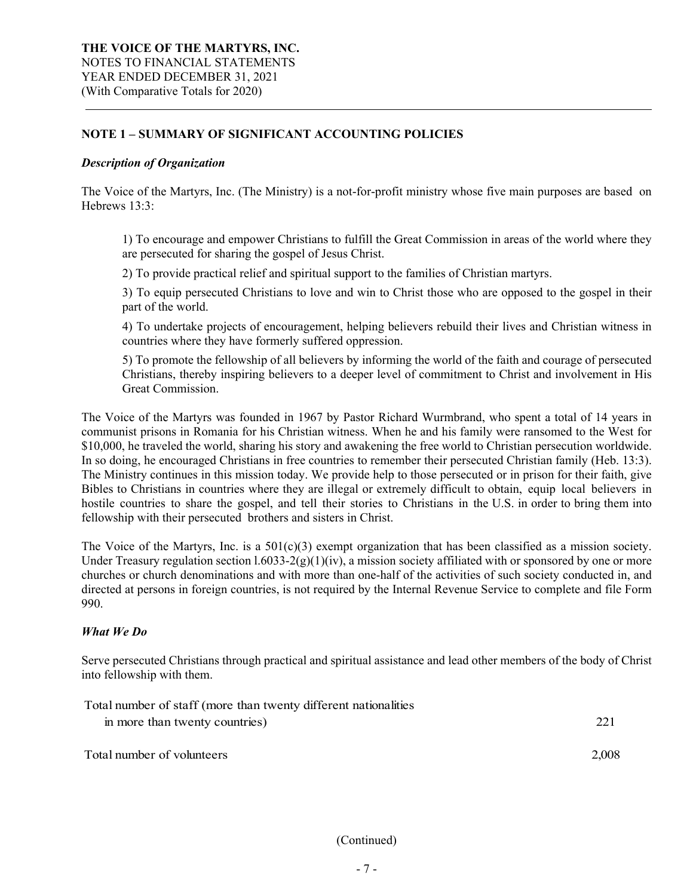## **NOTE 1 – SUMMARY OF SIGNIFICANT ACCOUNTING POLICIES**

#### *Description of Organization*

The Voice of the Martyrs, Inc. (The Ministry) is a not-for-profit ministry whose five main purposes are based on Hebrews 13:3:

1) To encourage and empower Christians to fulfill the Great Commission in areas of the world where they are persecuted for sharing the gospel of Jesus Christ.

2) To provide practical relief and spiritual support to the families of Christian martyrs.

3) To equip persecuted Christians to love and win to Christ those who are opposed to the gospel in their part of the world.

4) To undertake projects of encouragement, helping believers rebuild their lives and Christian witness in countries where they have formerly suffered oppression.

5) To promote the fellowship of all believers by informing the world of the faith and courage of persecuted Christians, thereby inspiring believers to a deeper level of commitment to Christ and involvement in His Great Commission.

The Voice of the Martyrs was founded in 1967 by Pastor Richard Wurmbrand, who spent a total of 14 years in communist prisons in Romania for his Christian witness. When he and his family were ransomed to the West for \$10,000, he traveled the world, sharing his story and awakening the free world to Christian persecution worldwide. In so doing, he encouraged Christians in free countries to remember their persecuted Christian family (Heb. 13:3). The Ministry continues in this mission today. We provide help to those persecuted or in prison for their faith, give Bibles to Christians in countries where they are illegal or extremely difficult to obtain, equip local believers in hostile countries to share the gospel, and tell their stories to Christians in the U.S. in order to bring them into fellowship with their persecuted brothers and sisters in Christ.

The Voice of the Martyrs, Inc. is a  $501(c)(3)$  exempt organization that has been classified as a mission society. Under Treasury regulation section  $1.6033-2(g)(1)(iv)$ , a mission society affiliated with or sponsored by one or more churches or church denominations and with more than one-half of the activities of such society conducted in, and directed at persons in foreign countries, is not required by the Internal Revenue Service to complete and file Form 990.

## *What We Do*

Serve persecuted Christians through practical and spiritual assistance and lead other members of the body of Christ into fellowship with them.

| Total number of staff (more than twenty different nationalities) |       |
|------------------------------------------------------------------|-------|
| in more than twenty countries)                                   | 221   |
| Total number of volunteers                                       | 2,008 |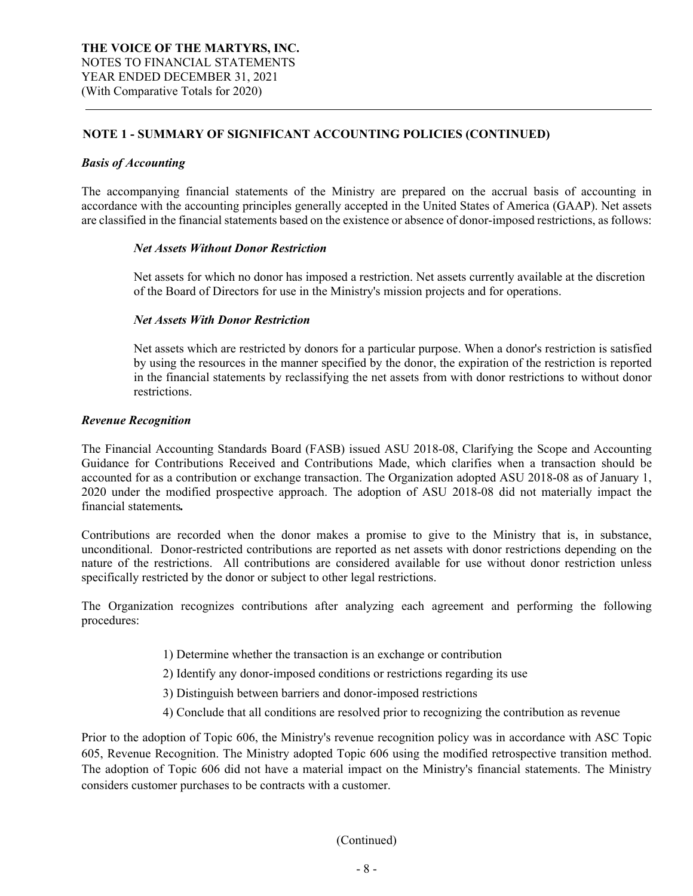#### *Basis of Accounting*

The accompanying financial statements of the Ministry are prepared on the accrual basis of accounting in accordance with the accounting principles generally accepted in the United States of America (GAAP). Net assets are classified in the financial statements based on the existence or absence of donor-imposed restrictions, as follows:

#### *Net Assets Without Donor Restriction*

Net assets for which no donor has imposed a restriction. Net assets currently available at the discretion of the Board of Directors for use in the Ministry's mission projects and for operations.

#### *Net Assets With Donor Restriction*

Net assets which are restricted by donors for a particular purpose. When a donor's restriction is satisfied by using the resources in the manner specified by the donor, the expiration of the restriction is reported in the financial statements by reclassifying the net assets from with donor restrictions to without donor restrictions.

#### *Revenue Recognition*

The Financial Accounting Standards Board (FASB) issued ASU 2018-08, Clarifying the Scope and Accounting Guidance for Contributions Received and Contributions Made, which clarifies when a transaction should be accounted for as a contribution or exchange transaction. The Organization adopted ASU 2018-08 as of January 1, 2020 under the modified prospective approach. The adoption of ASU 2018-08 did not materially impact the financial statements*.* 

Contributions are recorded when the donor makes a promise to give to the Ministry that is, in substance, unconditional. Donor-restricted contributions are reported as net assets with donor restrictions depending on the nature of the restrictions. All contributions are considered available for use without donor restriction unless specifically restricted by the donor or subject to other legal restrictions.

The Organization recognizes contributions after analyzing each agreement and performing the following procedures:

- 1) Determine whether the transaction is an exchange or contribution
- 2) Identify any donor-imposed conditions or restrictions regarding its use
- 3) Distinguish between barriers and donor-imposed restrictions
- 4) Conclude that all conditions are resolved prior to recognizing the contribution as revenue

Prior to the adoption of Topic 606, the Ministry's revenue recognition policy was in accordance with ASC Topic 605, Revenue Recognition. The Ministry adopted Topic 606 using the modified retrospective transition method. The adoption of Topic 606 did not have a material impact on the Ministry's financial statements. The Ministry considers customer purchases to be contracts with a customer.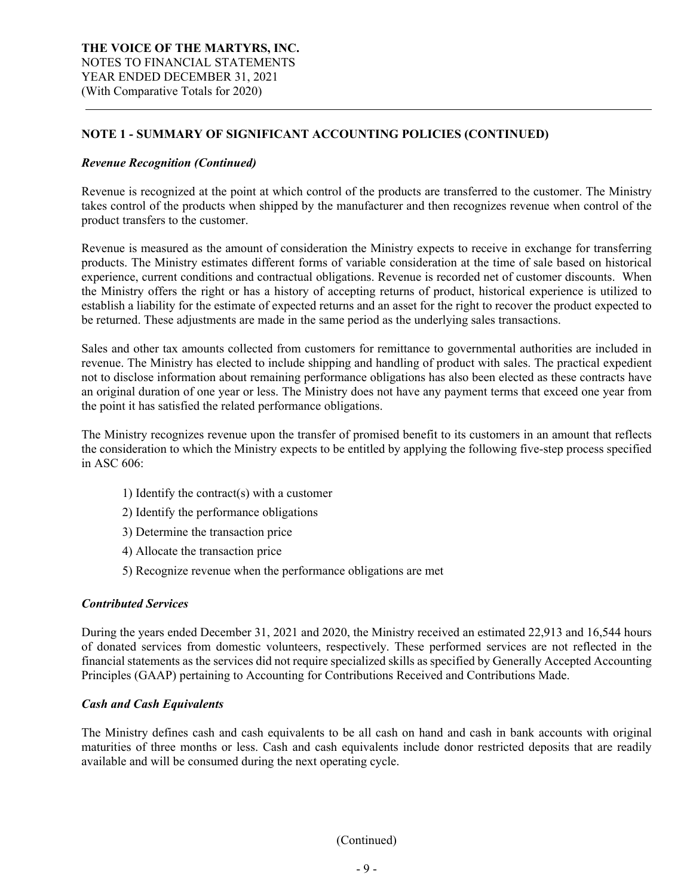#### *Revenue Recognition (Continued)*

Revenue is recognized at the point at which control of the products are transferred to the customer. The Ministry takes control of the products when shipped by the manufacturer and then recognizes revenue when control of the product transfers to the customer.

Revenue is measured as the amount of consideration the Ministry expects to receive in exchange for transferring products. The Ministry estimates different forms of variable consideration at the time of sale based on historical experience, current conditions and contractual obligations. Revenue is recorded net of customer discounts. When the Ministry offers the right or has a history of accepting returns of product, historical experience is utilized to establish a liability for the estimate of expected returns and an asset for the right to recover the product expected to be returned. These adjustments are made in the same period as the underlying sales transactions.

Sales and other tax amounts collected from customers for remittance to governmental authorities are included in revenue. The Ministry has elected to include shipping and handling of product with sales. The practical expedient not to disclose information about remaining performance obligations has also been elected as these contracts have an original duration of one year or less. The Ministry does not have any payment terms that exceed one year from the point it has satisfied the related performance obligations.

The Ministry recognizes revenue upon the transfer of promised benefit to its customers in an amount that reflects the consideration to which the Ministry expects to be entitled by applying the following five-step process specified in ASC 606:

- 1) Identify the contract(s) with a customer
- 2) Identify the performance obligations
- 3) Determine the transaction price
- 4) Allocate the transaction price
- 5) Recognize revenue when the performance obligations are met

#### *Contributed Services*

During the years ended December 31, 2021 and 2020, the Ministry received an estimated 22,913 and 16,544 hours of donated services from domestic volunteers, respectively. These performed services are not reflected in the financial statements as the services did not require specialized skills as specified by Generally Accepted Accounting Principles (GAAP) pertaining to Accounting for Contributions Received and Contributions Made.

#### *Cash and Cash Equivalents*

The Ministry defines cash and cash equivalents to be all cash on hand and cash in bank accounts with original maturities of three months or less. Cash and cash equivalents include donor restricted deposits that are readily available and will be consumed during the next operating cycle.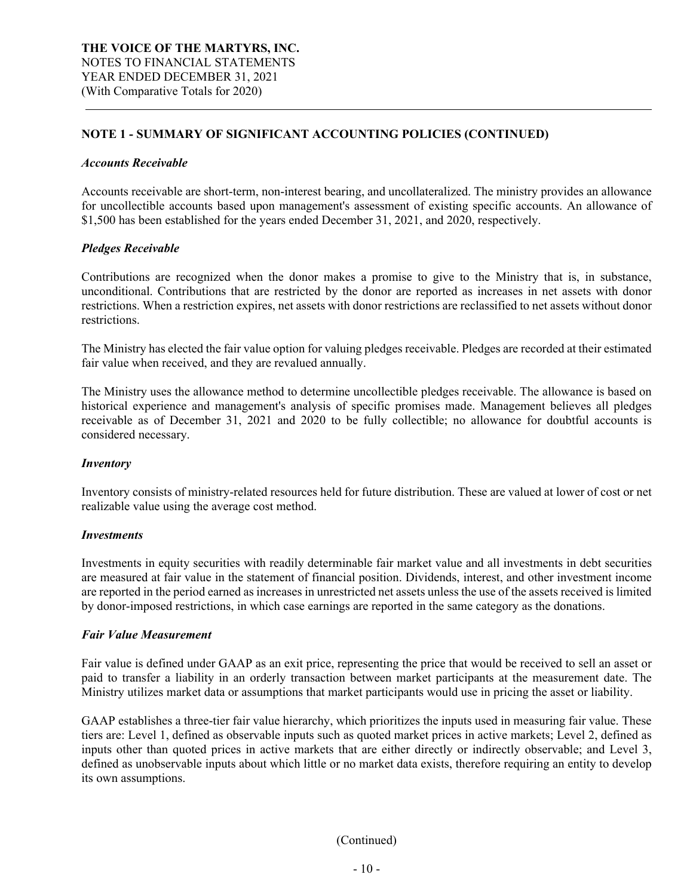#### *Accounts Receivable*

Accounts receivable are short-term, non-interest bearing, and uncollateralized. The ministry provides an allowance for uncollectible accounts based upon management's assessment of existing specific accounts. An allowance of \$1,500 has been established for the years ended December 31, 2021, and 2020, respectively.

#### *Pledges Receivable*

Contributions are recognized when the donor makes a promise to give to the Ministry that is, in substance, unconditional. Contributions that are restricted by the donor are reported as increases in net assets with donor restrictions. When a restriction expires, net assets with donor restrictions are reclassified to net assets without donor restrictions.

The Ministry has elected the fair value option for valuing pledges receivable. Pledges are recorded at their estimated fair value when received, and they are revalued annually.

The Ministry uses the allowance method to determine uncollectible pledges receivable. The allowance is based on historical experience and management's analysis of specific promises made. Management believes all pledges receivable as of December 31, 2021 and 2020 to be fully collectible; no allowance for doubtful accounts is considered necessary.

#### *Inventory*

Inventory consists of ministry-related resources held for future distribution. These are valued at lower of cost or net realizable value using the average cost method.

#### *Investments*

Investments in equity securities with readily determinable fair market value and all investments in debt securities are measured at fair value in the statement of financial position. Dividends, interest, and other investment income are reported in the period earned as increases in unrestricted net assets unless the use of the assets received is limited by donor-imposed restrictions, in which case earnings are reported in the same category as the donations.

#### *Fair Value Measurement*

Fair value is defined under GAAP as an exit price, representing the price that would be received to sell an asset or paid to transfer a liability in an orderly transaction between market participants at the measurement date. The Ministry utilizes market data or assumptions that market participants would use in pricing the asset or liability.

GAAP establishes a three-tier fair value hierarchy, which prioritizes the inputs used in measuring fair value. These tiers are: Level 1, defined as observable inputs such as quoted market prices in active markets; Level 2, defined as inputs other than quoted prices in active markets that are either directly or indirectly observable; and Level 3, defined as unobservable inputs about which little or no market data exists, therefore requiring an entity to develop its own assumptions.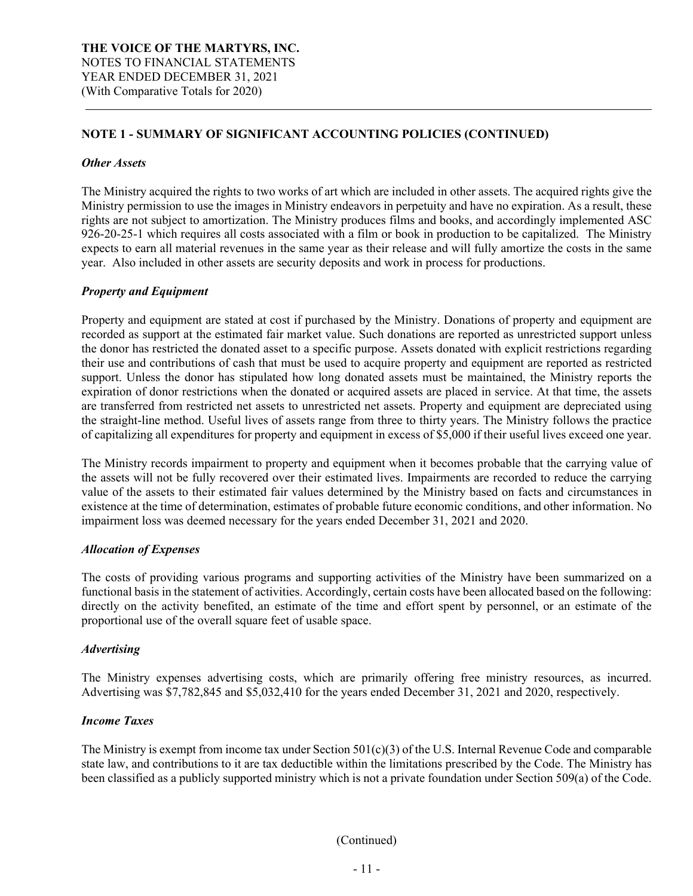#### *Other Assets*

The Ministry acquired the rights to two works of art which are included in other assets. The acquired rights give the Ministry permission to use the images in Ministry endeavors in perpetuity and have no expiration. As a result, these rights are not subject to amortization. The Ministry produces films and books, and accordingly implemented ASC 926-20-25-1 which requires all costs associated with a film or book in production to be capitalized. The Ministry expects to earn all material revenues in the same year as their release and will fully amortize the costs in the same year. Also included in other assets are security deposits and work in process for productions.

#### *Property and Equipment*

Property and equipment are stated at cost if purchased by the Ministry. Donations of property and equipment are recorded as support at the estimated fair market value. Such donations are reported as unrestricted support unless the donor has restricted the donated asset to a specific purpose. Assets donated with explicit restrictions regarding their use and contributions of cash that must be used to acquire property and equipment are reported as restricted support. Unless the donor has stipulated how long donated assets must be maintained, the Ministry reports the expiration of donor restrictions when the donated or acquired assets are placed in service. At that time, the assets are transferred from restricted net assets to unrestricted net assets. Property and equipment are depreciated using the straight-line method. Useful lives of assets range from three to thirty years. The Ministry follows the practice of capitalizing all expenditures for property and equipment in excess of \$5,000 if their useful lives exceed one year.

The Ministry records impairment to property and equipment when it becomes probable that the carrying value of the assets will not be fully recovered over their estimated lives. Impairments are recorded to reduce the carrying value of the assets to their estimated fair values determined by the Ministry based on facts and circumstances in existence at the time of determination, estimates of probable future economic conditions, and other information. No impairment loss was deemed necessary for the years ended December 31, 2021 and 2020.

#### *Allocation of Expenses*

The costs of providing various programs and supporting activities of the Ministry have been summarized on a functional basis in the statement of activities. Accordingly, certain costs have been allocated based on the following: directly on the activity benefited, an estimate of the time and effort spent by personnel, or an estimate of the proportional use of the overall square feet of usable space.

## *Advertising*

The Ministry expenses advertising costs, which are primarily offering free ministry resources, as incurred. Advertising was \$7,782,845 and \$5,032,410 for the years ended December 31, 2021 and 2020, respectively.

#### *Income Taxes*

The Ministry is exempt from income tax under Section  $501(c)(3)$  of the U.S. Internal Revenue Code and comparable state law, and contributions to it are tax deductible within the limitations prescribed by the Code. The Ministry has been classified as a publicly supported ministry which is not a private foundation under Section 509(a) of the Code.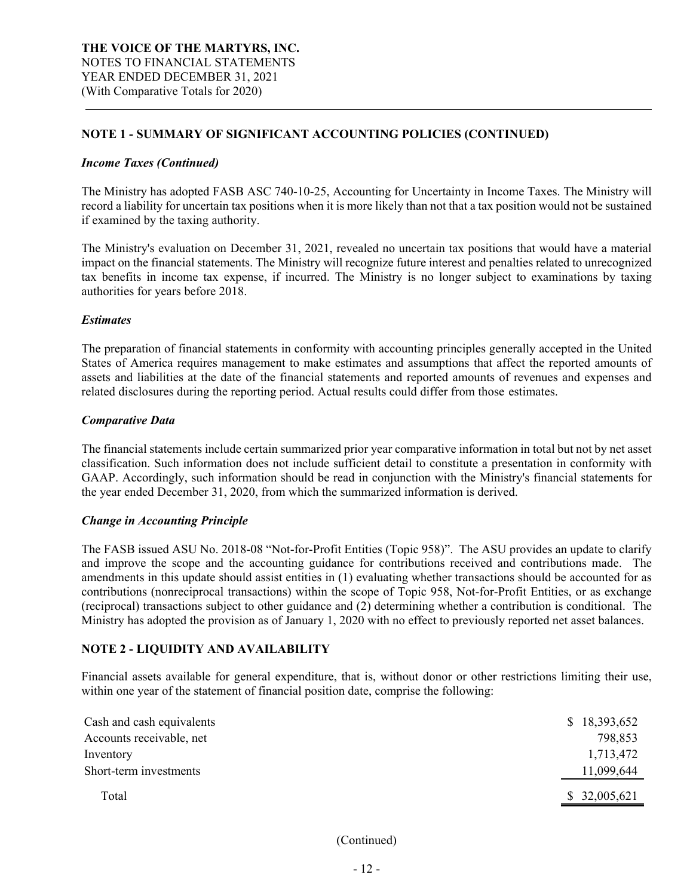#### *Income Taxes (Continued)*

The Ministry has adopted FASB ASC 740-10-25, Accounting for Uncertainty in Income Taxes. The Ministry will record a liability for uncertain tax positions when it is more likely than not that a tax position would not be sustained if examined by the taxing authority.

The Ministry's evaluation on December 31, 2021, revealed no uncertain tax positions that would have a material impact on the financial statements. The Ministry will recognize future interest and penalties related to unrecognized tax benefits in income tax expense, if incurred. The Ministry is no longer subject to examinations by taxing authorities for years before 2018.

#### *Estimates*

The preparation of financial statements in conformity with accounting principles generally accepted in the United States of America requires management to make estimates and assumptions that affect the reported amounts of assets and liabilities at the date of the financial statements and reported amounts of revenues and expenses and related disclosures during the reporting period. Actual results could differ from those estimates.

#### *Comparative Data*

The financial statements include certain summarized prior year comparative information in total but not by net asset classification. Such information does not include sufficient detail to constitute a presentation in conformity with GAAP. Accordingly, such information should be read in conjunction with the Ministry's financial statements for the year ended December 31, 2020, from which the summarized information is derived.

## *Change in Accounting Principle*

The FASB issued ASU No. 2018-08 "Not-for-Profit Entities (Topic 958)". The ASU provides an update to clarify and improve the scope and the accounting guidance for contributions received and contributions made. The amendments in this update should assist entities in (1) evaluating whether transactions should be accounted for as contributions (nonreciprocal transactions) within the scope of Topic 958, Not-for-Profit Entities, or as exchange (reciprocal) transactions subject to other guidance and  $(2)$  determining whether a contribution is conditional. The Ministry has adopted the provision as of January 1, 2020 with no effect to previously reported net asset balances.

## **NOTE 2 - LIQUIDITY AND AVAILABILITY**

Financial assets available for general expenditure, that is, without donor or other restrictions limiting their use, within one year of the statement of financial position date, comprise the following:

| Cash and cash equivalents | \$18,393,652 |
|---------------------------|--------------|
| Accounts receivable, net  | 798,853      |
| Inventory                 | 1,713,472    |
| Short-term investments    | 11,099,644   |
| Total                     | \$32,005,621 |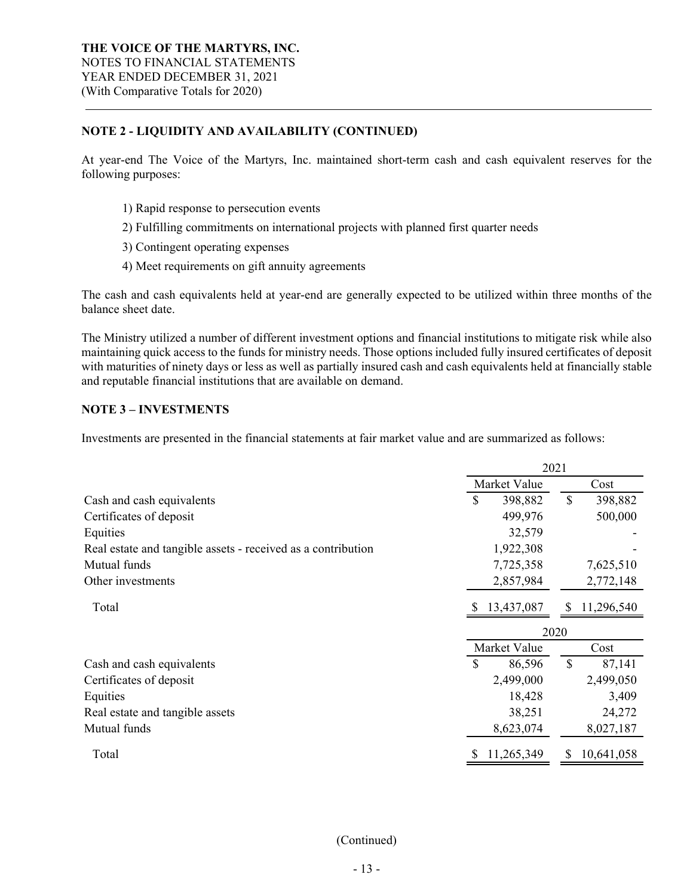## **NOTE 2 - LIQUIDITY AND AVAILABILITY (CONTINUED)**

At year-end The Voice of the Martyrs, Inc. maintained short-term cash and cash equivalent reserves for the following purposes:

- 1) Rapid response to persecution events
- 2) Fulfilling commitments on international projects with planned first quarter needs
- 3) Contingent operating expenses
- 4) Meet requirements on gift annuity agreements

The cash and cash equivalents held at year-end are generally expected to be utilized within three months of the balance sheet date.

The Ministry utilized a number of different investment options and financial institutions to mitigate risk while also maintaining quick access to the funds for ministry needs. Those options included fully insured certificates of deposit with maturities of ninety days or less as well as partially insured cash and cash equivalents held at financially stable and reputable financial institutions that are available on demand.

## **NOTE 3 – INVESTMENTS**

Investments are presented in the financial statements at fair market value and are summarized as follows:

|                                                              | 2021 |              |               |            |
|--------------------------------------------------------------|------|--------------|---------------|------------|
|                                                              |      | Market Value |               | Cost       |
| Cash and cash equivalents                                    | \$   | 398,882      | $\mathbb{S}$  | 398,882    |
| Certificates of deposit                                      |      | 499,976      |               | 500,000    |
| Equities                                                     |      | 32,579       |               |            |
| Real estate and tangible assets - received as a contribution |      | 1,922,308    |               |            |
| Mutual funds                                                 |      | 7,725,358    |               | 7,625,510  |
| Other investments                                            |      | 2,857,984    |               | 2,772,148  |
| Total                                                        |      | 13,437,087   | \$            | 11,296,540 |
|                                                              |      |              | 2020          |            |
|                                                              |      | Market Value |               | Cost       |
| Cash and cash equivalents                                    | \$   | 86,596       | $\mathcal{S}$ | 87,141     |
| Certificates of deposit                                      |      | 2,499,000    |               | 2,499,050  |
| Equities                                                     |      | 18,428       |               | 3,409      |
| Real estate and tangible assets                              |      | 38,251       |               | 24,272     |
| Mutual funds                                                 |      | 8,623,074    |               | 8,027,187  |
| Total                                                        |      | 11,265,349   | S             | 10,641,058 |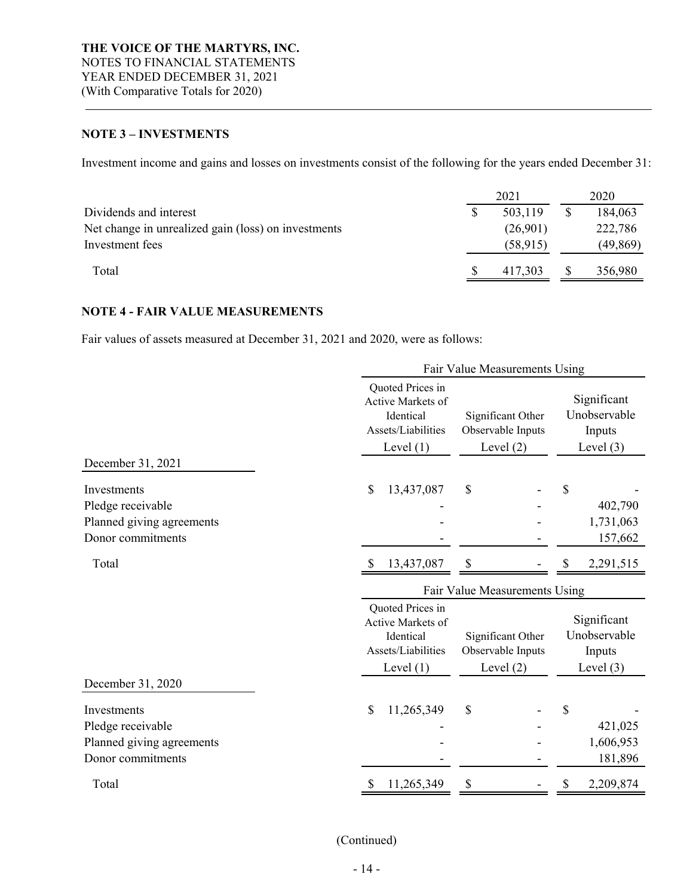## **NOTE 3 – INVESTMENTS**

Investment income and gains and losses on investments consist of the following for the years ended December 31:

|                                                     |  | 2021      | 2020      |
|-----------------------------------------------------|--|-----------|-----------|
| Dividends and interest                              |  | 503,119   | 184,063   |
| Net change in unrealized gain (loss) on investments |  | (26,901)  | 222,786   |
| Investment fees                                     |  | (58, 915) | (49, 869) |
| Total                                               |  | 417.303   | 356,980   |

## **NOTE 4 - FAIR VALUE MEASUREMENTS**

Fair values of assets measured at December 31, 2021 and 2020, were as follows:

|                                                                                    |                                                                                         | Fair Value Measurements Using                         |                                                      |
|------------------------------------------------------------------------------------|-----------------------------------------------------------------------------------------|-------------------------------------------------------|------------------------------------------------------|
|                                                                                    | Quoted Prices in<br>Active Markets of<br>Identical<br>Assets/Liabilities<br>Level $(1)$ | Significant Other<br>Observable Inputs<br>Level $(2)$ | Significant<br>Unobservable<br>Inputs<br>Level $(3)$ |
| December 31, 2021                                                                  |                                                                                         |                                                       |                                                      |
| Investments<br>Pledge receivable<br>Planned giving agreements<br>Donor commitments | \$<br>13,437,087                                                                        | \$                                                    | \$<br>402,790<br>1,731,063<br>157,662                |
| Total                                                                              | 13,437,087                                                                              | S                                                     | 2,291,515                                            |
|                                                                                    |                                                                                         | Fair Value Measurements Using                         |                                                      |
|                                                                                    | Quoted Prices in<br>Active Markets of<br>Identical<br>Assets/Liabilities<br>Level $(1)$ | Significant Other<br>Observable Inputs<br>Level $(2)$ | Significant<br>Unobservable<br>Inputs<br>Level $(3)$ |
| December 31, 2020                                                                  |                                                                                         |                                                       |                                                      |
| Investments<br>Pledge receivable<br>Planned giving agreements<br>Donor commitments | \$<br>11,265,349                                                                        | \$                                                    | \$<br>421,025<br>1,606,953<br>181,896                |
| Total                                                                              | 11,265,349<br>S                                                                         | \$                                                    | \$<br>2,209,874                                      |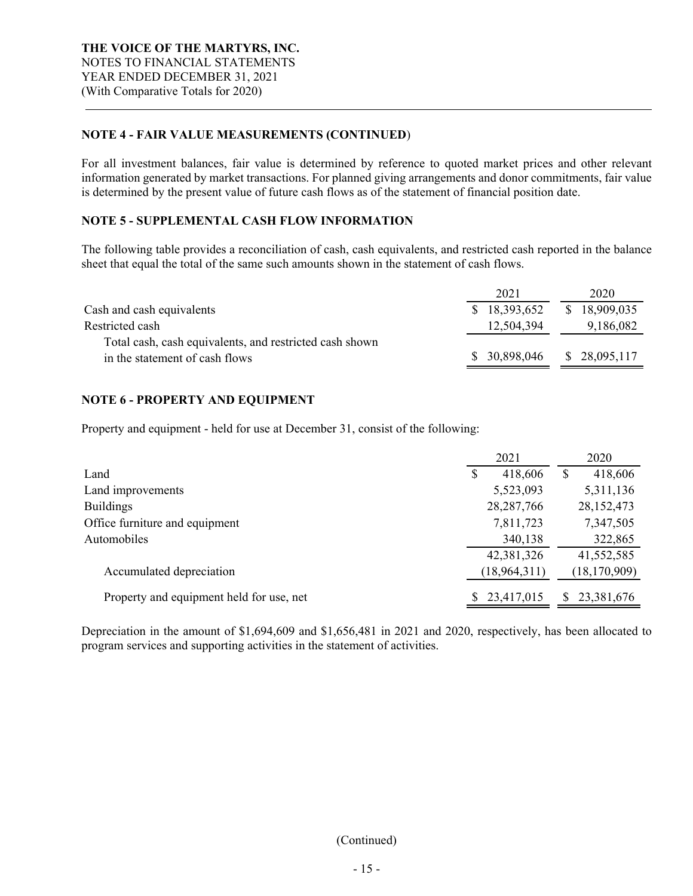## **NOTE 4 - FAIR VALUE MEASUREMENTS (CONTINUED**)

For all investment balances, fair value is determined by reference to quoted market prices and other relevant information generated by market transactions. For planned giving arrangements and donor commitments, fair value is determined by the present value of future cash flows as of the statement of financial position date.

# **NOTE 5 - SUPPLEMENTAL CASH FLOW INFORMATION**

The following table provides a reconciliation of cash, cash equivalents, and restricted cash reported in the balance sheet that equal the total of the same such amounts shown in the statement of cash flows.

|                                                         | 2021          | 2020         |
|---------------------------------------------------------|---------------|--------------|
| Cash and cash equivalents                               | \$18,393,652  | \$18,909,035 |
| Restricted cash                                         | 12,504,394    | 9,186,082    |
| Total cash, cash equivalents, and restricted cash shown |               |              |
| in the statement of cash flows                          | \$ 30,898,046 | \$28,095,117 |
|                                                         |               |              |

## **NOTE 6 - PROPERTY AND EQUIPMENT**

Property and equipment - held for use at December 31, consist of the following:

|                                          |   | 2021           |    | 2020           |
|------------------------------------------|---|----------------|----|----------------|
| Land                                     | S | 418,606        | \$ | 418,606        |
| Land improvements                        |   | 5,523,093      |    | 5,311,136      |
| <b>Buildings</b>                         |   | 28, 287, 766   |    | 28, 152, 473   |
| Office furniture and equipment           |   | 7,811,723      |    | 7,347,505      |
| Automobiles                              |   | 340,138        |    | 322,865        |
|                                          |   | 42,381,326     |    | 41,552,585     |
| Accumulated depreciation                 |   | (18, 964, 311) |    | (18, 170, 909) |
| Property and equipment held for use, net |   | 23,417,015     | S. | 23,381,676     |

Depreciation in the amount of \$1,694,609 and \$1,656,481 in 2021 and 2020, respectively, has been allocated to program services and supporting activities in the statement of activities.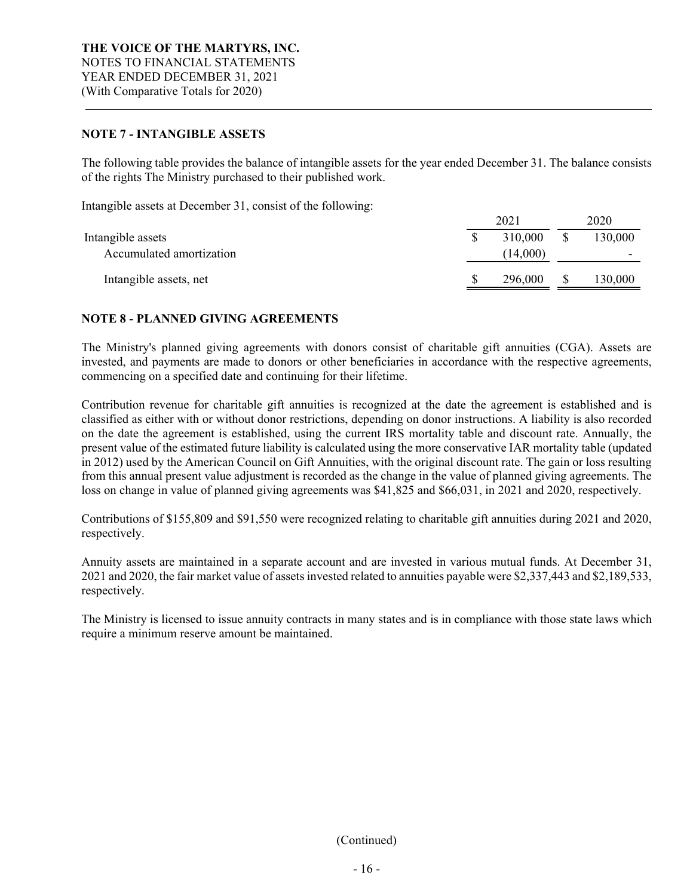## **NOTE 7 - INTANGIBLE ASSETS**

The following table provides the balance of intangible assets for the year ended December 31. The balance consists of the rights The Ministry purchased to their published work.

Intangible assets at December 31, consist of the following:

|                                               | 2021                | 2020    |
|-----------------------------------------------|---------------------|---------|
| Intangible assets<br>Accumulated amortization | 310,000<br>(14,000) | 130,000 |
| Intangible assets, net                        | \$<br>296,000       | 130,000 |

## **NOTE 8 - PLANNED GIVING AGREEMENTS**

The Ministry's planned giving agreements with donors consist of charitable gift annuities (CGA). Assets are invested, and payments are made to donors or other beneficiaries in accordance with the respective agreements, commencing on a specified date and continuing for their lifetime.

Contribution revenue for charitable gift annuities is recognized at the date the agreement is established and is classified as either with or without donor restrictions, depending on donor instructions. A liability is also recorded on the date the agreement is established, using the current IRS mortality table and discount rate. Annually, the present value of the estimated future liability is calculated using the more conservative IAR mortality table (updated in 2012) used by the American Council on Gift Annuities, with the original discount rate. The gain or loss resulting from this annual present value adjustment is recorded as the change in the value of planned giving agreements. The loss on change in value of planned giving agreements was \$41,825 and \$66,031, in 2021 and 2020, respectively.

Contributions of \$155,809 and \$91,550 were recognized relating to charitable gift annuities during 2021 and 2020, respectively.

Annuity assets are maintained in a separate account and are invested in various mutual funds. At December 31, 2021 and 2020, the fair market value of assets invested related to annuities payable were \$2,337,443 and \$2,189,533, respectively.

The Ministry is licensed to issue annuity contracts in many states and is in compliance with those state laws which require a minimum reserve amount be maintained.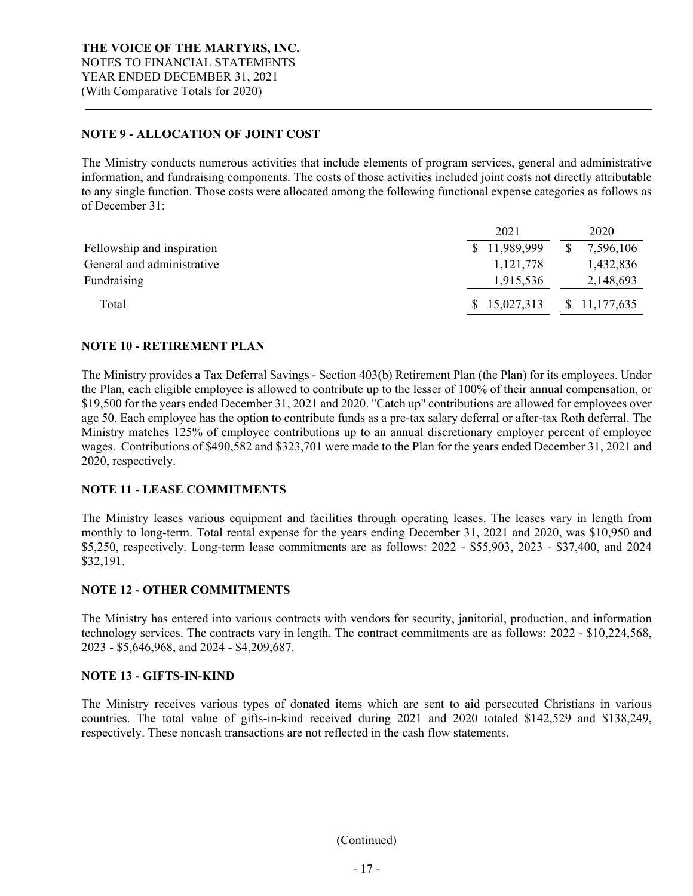## **NOTE 9 - ALLOCATION OF JOINT COST**

The Ministry conducts numerous activities that include elements of program services, general and administrative information, and fundraising components. The costs of those activities included joint costs not directly attributable to any single function. Those costs were allocated among the following functional expense categories as follows as of December 31:

|                            | 2021         | 2020                       |
|----------------------------|--------------|----------------------------|
| Fellowship and inspiration | \$11,989,999 | 7,596,106<br><sup>\$</sup> |
| General and administrative | 1, 121, 778  | 1,432,836                  |
| Fundraising                | 1,915,536    | 2,148,693                  |
| Total                      | 15,027,313   | 11,177,635<br>S            |

## **NOTE 10 - RETIREMENT PLAN**

The Ministry provides a Tax Deferral Savings - Section 403(b) Retirement Plan (the Plan) for its employees. Under the Plan, each eligible employee is allowed to contribute up to the lesser of 100% of their annual compensation, or \$19,500 for the years ended December 31, 2021 and 2020. "Catch up" contributions are allowed for employees over age 50. Each employee has the option to contribute funds as a pre-tax salary deferral or after-tax Roth deferral. The Ministry matches 125% of employee contributions up to an annual discretionary employer percent of employee wages. Contributions of \$490,582 and \$323,701 were made to the Plan for the years ended December 31, 2021 and 2020, respectively.

#### **NOTE 11 - LEASE COMMITMENTS**

The Ministry leases various equipment and facilities through operating leases. The leases vary in length from monthly to long-term. Total rental expense for the years ending December 31, 2021 and 2020, was \$10,950 and \$5,250, respectively. Long-term lease commitments are as follows: 2022 - \$55,903, 2023 - \$37,400, and 2024 \$32,191.

#### **NOTE 12 - OTHER COMMITMENTS**

The Ministry has entered into various contracts with vendors for security, janitorial, production, and information technology services. The contracts vary in length. The contract commitments are as follows: 2022 - \$10,224,568, 2023 - \$5,646,968, and 2024 - \$4,209,687.

#### **NOTE 13 - GIFTS-IN-KIND**

The Ministry receives various types of donated items which are sent to aid persecuted Christians in various countries. The total value of gifts-in-kind received during 2021 and 2020 totaled \$142,529 and \$138,249, respectively. These noncash transactions are not reflected in the cash flow statements.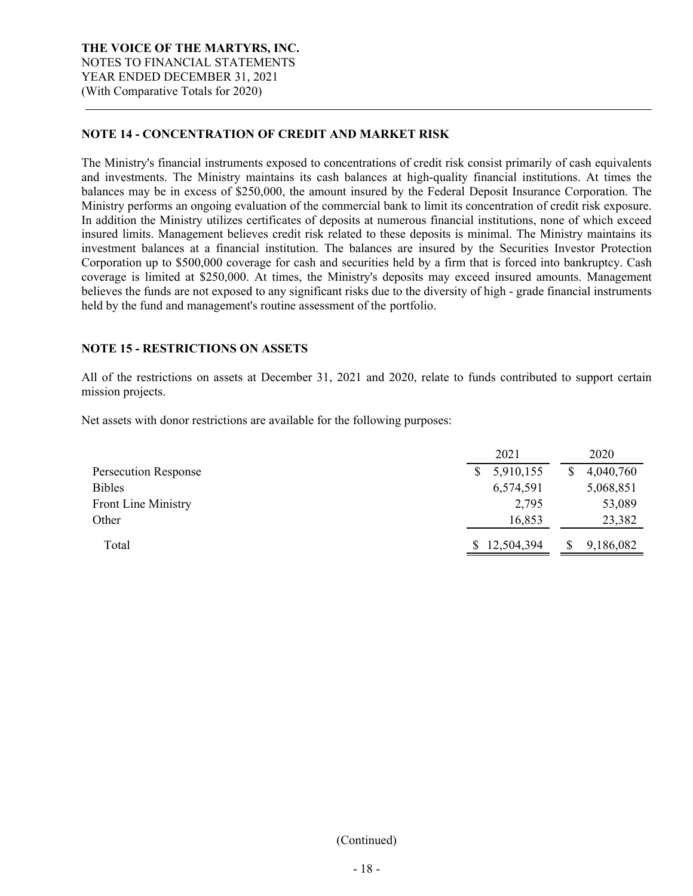## **NOTE 14 - CONCENTRATION OF CREDIT AND MARKET RISK**

The Ministry's financial instruments exposed to concentrations of credit risk consist primarily of cash equivalents and investments. The Ministry maintains its cash balances at high-quality financial institutions. At times the balances may be in excess of \$250,000, the amount insured by the Federal Deposit Insurance Corporation. The Ministry performs an ongoing evaluation of the commercial bank to limit its concentration of credit risk exposure. In addition the Ministry utilizes certificates of deposits at numerous financial institutions, none of which exceed insured limits. Management believes credit risk related to these deposits is minimal. The Ministry maintains its investment balances at a financial institution. The balances are insured by the Securities Investor Protection Corporation up to \$500,000 coverage for cash and securities held by a firm that is forced into bankruptcy. Cash coverage is limited at \$250,000. At times, the Ministry's deposits may exceed insured amounts. Management believes the funds are not exposed to any significant risks due to the diversity of high - grade financial instruments held by the fund and management's routine assessment of the portfolio.

## **NOTE 15 - RESTRICTIONS ON ASSETS**

All of the restrictions on assets at December 31, 2021 and 2020, relate to funds contributed to support certain mission projects.

Net assets with donor restrictions are available for the following purposes:

|                            | 2021            | 2020      |
|----------------------------|-----------------|-----------|
| Persecution Response       | 5,910,155<br>S. | 4,040,760 |
| <b>Bibles</b>              | 6,574,591       | 5,068,851 |
| <b>Front Line Ministry</b> | 2,795           | 53,089    |
| Other                      | 16,853          | 23,382    |
| Total                      | 12,504,394      | 9,186,082 |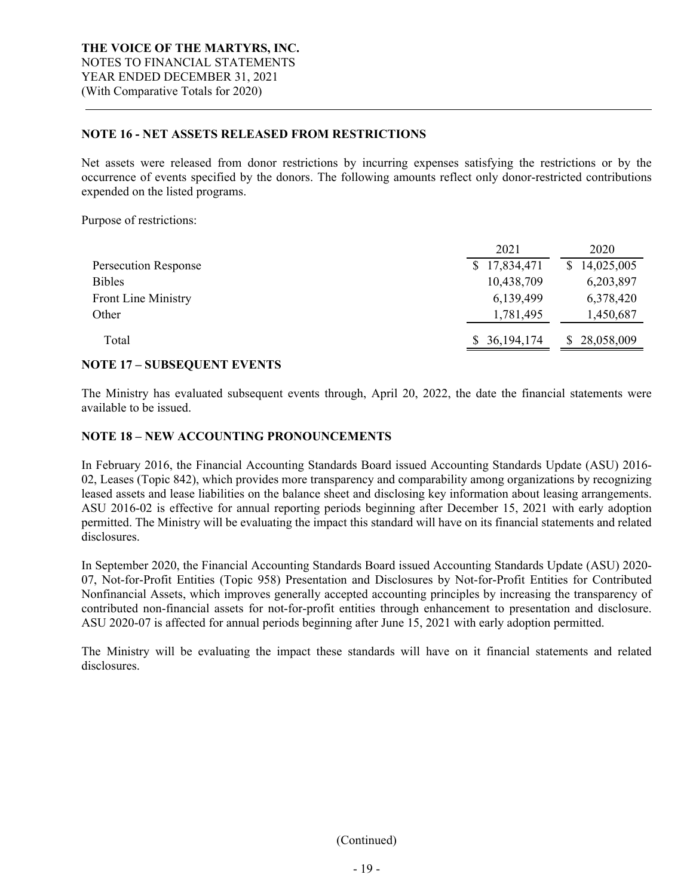## **NOTE 16 - NET ASSETS RELEASED FROM RESTRICTIONS**

Net assets were released from donor restrictions by incurring expenses satisfying the restrictions or by the occurrence of events specified by the donors. The following amounts reflect only donor-restricted contributions expended on the listed programs.

Purpose of restrictions:

|                            | 2021         | 2020                       |
|----------------------------|--------------|----------------------------|
| Persecution Response       | \$17,834,471 | 14,025,005<br><sup>S</sup> |
| <b>Bibles</b>              | 10,438,709   | 6,203,897                  |
| <b>Front Line Ministry</b> | 6,139,499    | 6,378,420                  |
| Other                      | 1,781,495    | 1,450,687                  |
| Total                      | \$36,194,174 | 28,058,009                 |

## **NOTE 17 – SUBSEQUENT EVENTS**

The Ministry has evaluated subsequent events through, April 20, 2022, the date the financial statements were available to be issued.

## **NOTE 18 – NEW ACCOUNTING PRONOUNCEMENTS**

In February 2016, the Financial Accounting Standards Board issued Accounting Standards Update (ASU) 2016- 02, Leases (Topic 842), which provides more transparency and comparability among organizations by recognizing leased assets and lease liabilities on the balance sheet and disclosing key information about leasing arrangements. ASU 2016-02 is effective for annual reporting periods beginning after December 15, 2021 with early adoption permitted. The Ministry will be evaluating the impact this standard will have on its financial statements and related disclosures.

In September 2020, the Financial Accounting Standards Board issued Accounting Standards Update (ASU) 2020- 07, Not-for-Profit Entities (Topic 958) Presentation and Disclosures by Not-for-Profit Entities for Contributed Nonfinancial Assets, which improves generally accepted accounting principles by increasing the transparency of contributed non-financial assets for not-for-profit entities through enhancement to presentation and disclosure. ASU 2020-07 is affected for annual periods beginning after June 15, 2021 with early adoption permitted.

The Ministry will be evaluating the impact these standards will have on it financial statements and related disclosures.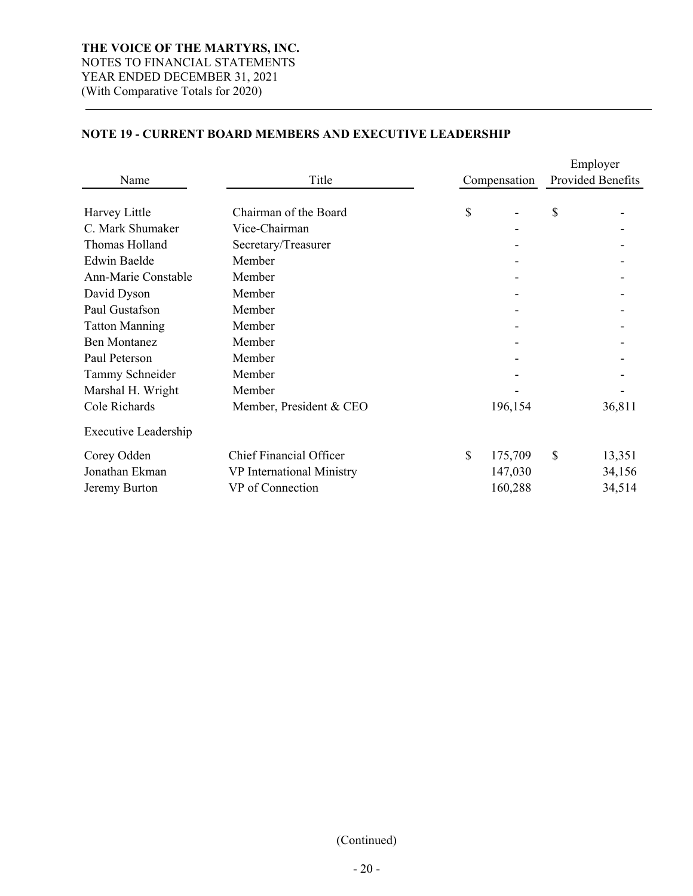## **NOTE 19 - CURRENT BOARD MEMBERS AND EXECUTIVE LEADERSHIP**

|                             |                                |              |              |              | Employer          |  |
|-----------------------------|--------------------------------|--------------|--------------|--------------|-------------------|--|
| Name                        | Title                          |              | Compensation |              | Provided Benefits |  |
| Harvey Little               | Chairman of the Board          | \$           |              | \$           |                   |  |
| C. Mark Shumaker            | Vice-Chairman                  |              |              |              |                   |  |
| Thomas Holland              | Secretary/Treasurer            |              |              |              |                   |  |
| <b>Edwin Baelde</b>         | Member                         |              |              |              |                   |  |
| <b>Ann-Marie Constable</b>  | Member                         |              |              |              |                   |  |
| David Dyson                 | Member                         |              |              |              |                   |  |
| Paul Gustafson              | Member                         |              |              |              |                   |  |
| <b>Tatton Manning</b>       | Member                         |              |              |              |                   |  |
| <b>Ben Montanez</b>         | Member                         |              |              |              |                   |  |
| Paul Peterson               | Member                         |              |              |              |                   |  |
| Tammy Schneider             | Member                         |              |              |              |                   |  |
| Marshal H. Wright           | Member                         |              |              |              |                   |  |
| Cole Richards               | Member, President & CEO        |              | 196,154      |              | 36,811            |  |
| <b>Executive Leadership</b> |                                |              |              |              |                   |  |
| Corey Odden                 | <b>Chief Financial Officer</b> | $\mathbb{S}$ | 175,709      | $\mathbb{S}$ | 13,351            |  |
| Jonathan Ekman              | VP International Ministry      |              | 147,030      |              | 34,156            |  |
| Jeremy Burton               | VP of Connection               |              | 160,288      |              | 34,514            |  |